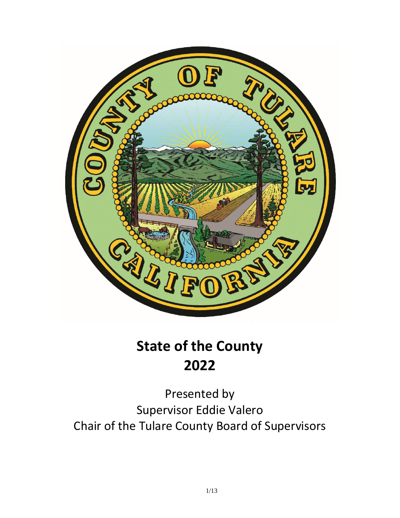

## **State of the County 2022**

Presented by Supervisor Eddie Valero Chair of the Tulare County Board of Supervisors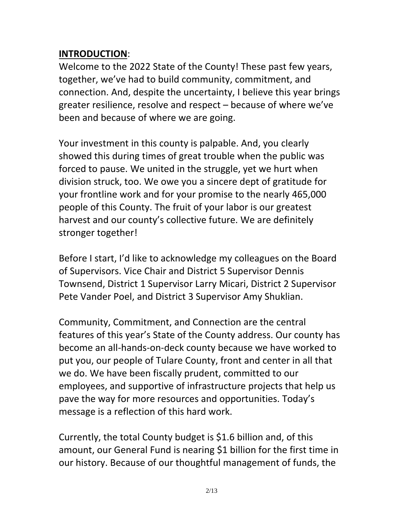## **INTRODUCTION**:

Welcome to the 2022 State of the County! These past few years, together, we've had to build community, commitment, and connection. And, despite the uncertainty, I believe this year brings greater resilience, resolve and respect – because of where we've been and because of where we are going.

Your investment in this county is palpable. And, you clearly showed this during times of great trouble when the public was forced to pause. We united in the struggle, yet we hurt when division struck, too. We owe you a sincere dept of gratitude for your frontline work and for your promise to the nearly 465,000 people of this County. The fruit of your labor is our greatest harvest and our county's collective future. We are definitely stronger together!

Before I start, I'd like to acknowledge my colleagues on the Board of Supervisors. Vice Chair and District 5 Supervisor Dennis Townsend, District 1 Supervisor Larry Micari, District 2 Supervisor Pete Vander Poel, and District 3 Supervisor Amy Shuklian.

Community, Commitment, and Connection are the central features of this year's State of the County address. Our county has become an all-hands-on-deck county because we have worked to put you, our people of Tulare County, front and center in all that we do. We have been fiscally prudent, committed to our employees, and supportive of infrastructure projects that help us pave the way for more resources and opportunities. Today's message is a reflection of this hard work.

Currently, the total County budget is \$1.6 billion and, of this amount, our General Fund is nearing \$1 billion for the first time in our history. Because of our thoughtful management of funds, the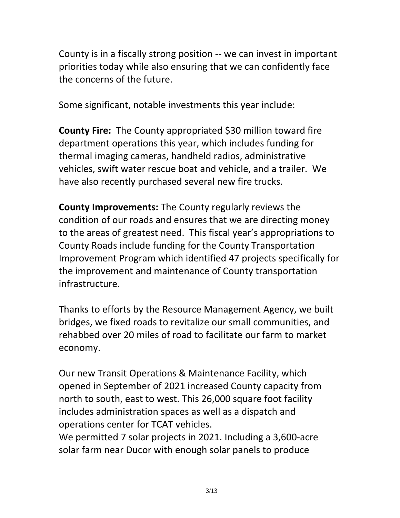County is in a fiscally strong position -- we can invest in important priorities today while also ensuring that we can confidently face the concerns of the future.

Some significant, notable investments this year include:

**County Fire:** The County appropriated \$30 million toward fire department operations this year, which includes funding for thermal imaging cameras, handheld radios, administrative vehicles, swift water rescue boat and vehicle, and a trailer. We have also recently purchased several new fire trucks.

**County Improvements:** The County regularly reviews the condition of our roads and ensures that we are directing money to the areas of greatest need. This fiscal year's appropriations to County Roads include funding for the County Transportation Improvement Program which identified 47 projects specifically for the improvement and maintenance of County transportation infrastructure.

Thanks to efforts by the Resource Management Agency, we built bridges, we fixed roads to revitalize our small communities, and rehabbed over 20 miles of road to facilitate our farm to market economy.

Our new Transit Operations & Maintenance Facility, which opened in September of 2021 increased County capacity from north to south, east to west. This 26,000 square foot facility includes administration spaces as well as a dispatch and operations center for TCAT vehicles.

We permitted 7 solar projects in 2021. Including a 3,600-acre solar farm near Ducor with enough solar panels to produce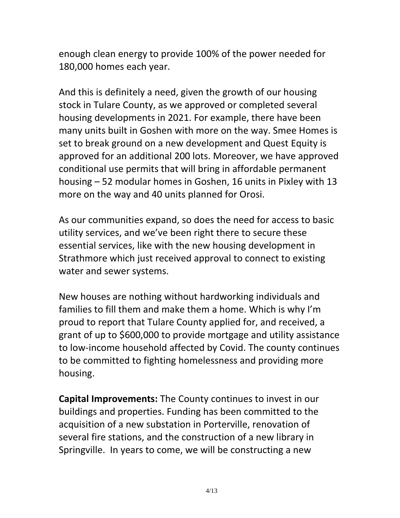enough clean energy to provide 100% of the power needed for 180,000 homes each year.

And this is definitely a need, given the growth of our housing stock in Tulare County, as we approved or completed several housing developments in 2021. For example, there have been many units built in Goshen with more on the way. Smee Homes is set to break ground on a new development and Quest Equity is approved for an additional 200 lots. Moreover, we have approved conditional use permits that will bring in affordable permanent housing – 52 modular homes in Goshen, 16 units in Pixley with 13 more on the way and 40 units planned for Orosi.

As our communities expand, so does the need for access to basic utility services, and we've been right there to secure these essential services, like with the new housing development in Strathmore which just received approval to connect to existing water and sewer systems.

New houses are nothing without hardworking individuals and families to fill them and make them a home. Which is why I'm proud to report that Tulare County applied for, and received, a grant of up to \$600,000 to provide mortgage and utility assistance to low-income household affected by Covid. The county continues to be committed to fighting homelessness and providing more housing.

**Capital Improvements:** The County continues to invest in our buildings and properties. Funding has been committed to the acquisition of a new substation in Porterville, renovation of several fire stations, and the construction of a new library in Springville. In years to come, we will be constructing a new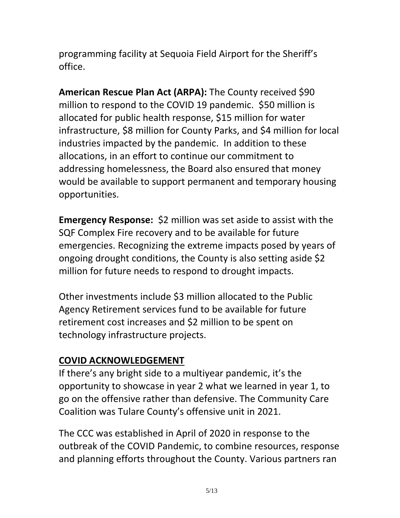programming facility at Sequoia Field Airport for the Sheriff's office.

**American Rescue Plan Act (ARPA):** The County received \$90 million to respond to the COVID 19 pandemic. \$50 million is allocated for public health response, \$15 million for water infrastructure, \$8 million for County Parks, and \$4 million for local industries impacted by the pandemic. In addition to these allocations, in an effort to continue our commitment to addressing homelessness, the Board also ensured that money would be available to support permanent and temporary housing opportunities.

**Emergency Response:** \$2 million was set aside to assist with the SQF Complex Fire recovery and to be available for future emergencies. Recognizing the extreme impacts posed by years of ongoing drought conditions, the County is also setting aside \$2 million for future needs to respond to drought impacts.

Other investments include \$3 million allocated to the Public Agency Retirement services fund to be available for future retirement cost increases and \$2 million to be spent on technology infrastructure projects.

## **COVID ACKNOWLEDGEMENT**

If there's any bright side to a multiyear pandemic, it's the opportunity to showcase in year 2 what we learned in year 1, to go on the offensive rather than defensive. The Community Care Coalition was Tulare County's offensive unit in 2021.

The CCC was established in April of 2020 in response to the outbreak of the COVID Pandemic, to combine resources, response and planning efforts throughout the County. Various partners ran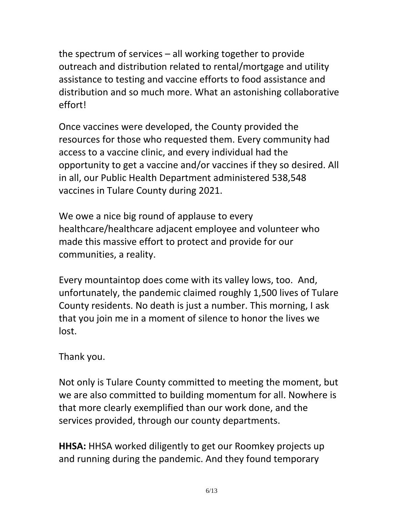the spectrum of services – all working together to provide outreach and distribution related to rental/mortgage and utility assistance to testing and vaccine efforts to food assistance and distribution and so much more. What an astonishing collaborative effort!

Once vaccines were developed, the County provided the resources for those who requested them. Every community had access to a vaccine clinic, and every individual had the opportunity to get a vaccine and/or vaccines if they so desired. All in all, our Public Health Department administered 538,548 vaccines in Tulare County during 2021.

We owe a nice big round of applause to every healthcare/healthcare adjacent employee and volunteer who made this massive effort to protect and provide for our communities, a reality.

Every mountaintop does come with its valley lows, too. And, unfortunately, the pandemic claimed roughly 1,500 lives of Tulare County residents. No death is just a number. This morning, I ask that you join me in a moment of silence to honor the lives we lost.

Thank you.

Not only is Tulare County committed to meeting the moment, but we are also committed to building momentum for all. Nowhere is that more clearly exemplified than our work done, and the services provided, through our county departments.

**HHSA:** HHSA worked diligently to get our Roomkey projects up and running during the pandemic. And they found temporary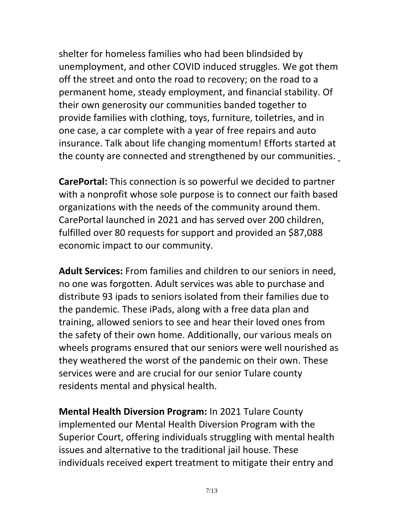shelter for homeless families who had been blindsided by unemployment, and other COVID induced struggles. We got them off the street and onto the road to recovery; on the road to a permanent home, steady employment, and financial stability. Of their own generosity our communities banded together to provide families with clothing, toys, furniture, toiletries, and in one case, a car complete with a year of free repairs and auto insurance. Talk about life changing momentum! Efforts started at the county are connected and strengthened by our communities.

**CarePortal:** This connection is so powerful we decided to partner with a nonprofit whose sole purpose is to connect our faith based organizations with the needs of the community around them. CarePortal launched in 2021 and has served over 200 children, fulfilled over 80 requests for support and provided an \$87,088 economic impact to our community.

**Adult Services:** From families and children to our seniors in need, no one was forgotten. Adult services was able to purchase and distribute 93 ipads to seniors isolated from their families due to the pandemic. These iPads, along with a free data plan and training, allowed seniors to see and hear their loved ones from the safety of their own home. Additionally, our various meals on wheels programs ensured that our seniors were well nourished as they weathered the worst of the pandemic on their own. These services were and are crucial for our senior Tulare county residents mental and physical health.

**Mental Health Diversion Program:** In 2021 Tulare County implemented our Mental Health Diversion Program with the Superior Court, offering individuals struggling with mental health issues and alternative to the traditional jail house. These individuals received expert treatment to mitigate their entry and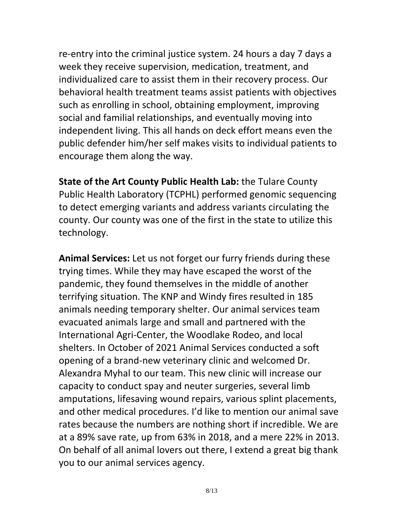re-entry into the criminal justice system. 24 hours a day 7 days a week they receive supervision, medication, treatment, and individualized care to assist them in their recovery process. Our behavioral health treatment teams assist patients with objectives such as enrolling in school, obtaining employment, improving social and familial relationships, and eventually moving into independent living. This all hands on deck effort means even the public defender him/her self makes visits to individual patients to encourage them along the way.

**State of the Art County Public Health Lab:** the Tulare County Public Health Laboratory (TCPHL) performed genomic sequencing to detect emerging variants and address variants circulating the county. Our county was one of the first in the state to utilize this technology.

**Animal Services:** Let us not forget our furry friends during these trying times. While they may have escaped the worst of the pandemic, they found themselves in the middle of another terrifying situation. The KNP and Windy fires resulted in 185 animals needing temporary shelter. Our animal services team evacuated animals large and small and partnered with the International Agri-Center, the Woodlake Rodeo, and local shelters. In October of 2021 Animal Services conducted a soft opening of a brand-new veterinary clinic and welcomed Dr. Alexandra Myhal to our team. This new clinic will increase our capacity to conduct spay and neuter surgeries, several limb amputations, lifesaving wound repairs, various splint placements, and other medical procedures. I'd like to mention our animal save rates because the numbers are nothing short if incredible. We are at a 89% save rate, up from 63% in 2018, and a mere 22% in 2013. On behalf of all animal lovers out there, I extend a great big thank you to our animal services agency.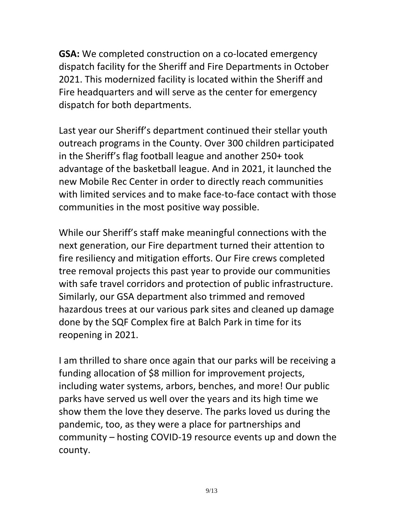**GSA:** We completed construction on a co-located emergency dispatch facility for the Sheriff and Fire Departments in October 2021. This modernized facility is located within the Sheriff and Fire headquarters and will serve as the center for emergency dispatch for both departments.

Last year our Sheriff's department continued their stellar youth outreach programs in the County. Over 300 children participated in the Sheriff's flag football league and another 250+ took advantage of the basketball league. And in 2021, it launched the new Mobile Rec Center in order to directly reach communities with limited services and to make face-to-face contact with those communities in the most positive way possible.

While our Sheriff's staff make meaningful connections with the next generation, our Fire department turned their attention to fire resiliency and mitigation efforts. Our Fire crews completed tree removal projects this past year to provide our communities with safe travel corridors and protection of public infrastructure. Similarly, our GSA department also trimmed and removed hazardous trees at our various park sites and cleaned up damage done by the SQF Complex fire at Balch Park in time for its reopening in 2021.

I am thrilled to share once again that our parks will be receiving a funding allocation of \$8 million for improvement projects, including water systems, arbors, benches, and more! Our public parks have served us well over the years and its high time we show them the love they deserve. The parks loved us during the pandemic, too, as they were a place for partnerships and community – hosting COVID-19 resource events up and down the county.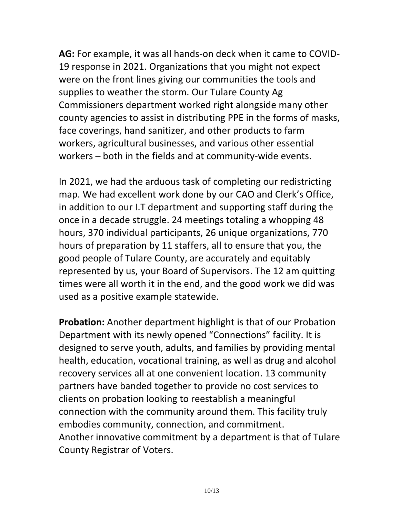**AG:** For example, it was all hands-on deck when it came to COVID-19 response in 2021. Organizations that you might not expect were on the front lines giving our communities the tools and supplies to weather the storm. Our Tulare County Ag Commissioners department worked right alongside many other county agencies to assist in distributing PPE in the forms of masks, face coverings, hand sanitizer, and other products to farm workers, agricultural businesses, and various other essential workers – both in the fields and at community-wide events.

In 2021, we had the arduous task of completing our redistricting map. We had excellent work done by our CAO and Clerk's Office, in addition to our I.T department and supporting staff during the once in a decade struggle. 24 meetings totaling a whopping 48 hours, 370 individual participants, 26 unique organizations, 770 hours of preparation by 11 staffers, all to ensure that you, the good people of Tulare County, are accurately and equitably represented by us, your Board of Supervisors. The 12 am quitting times were all worth it in the end, and the good work we did was used as a positive example statewide.

**Probation:** Another department highlight is that of our Probation Department with its newly opened "Connections" facility. It is designed to serve youth, adults, and families by providing mental health, education, vocational training, as well as drug and alcohol recovery services all at one convenient location. 13 community partners have banded together to provide no cost services to clients on probation looking to reestablish a meaningful connection with the community around them. This facility truly embodies community, connection, and commitment. Another innovative commitment by a department is that of Tulare County Registrar of Voters.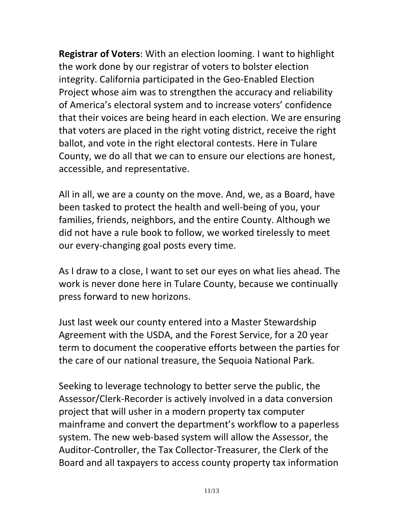**Registrar of Voters**: With an election looming. I want to highlight the work done by our registrar of voters to bolster election integrity. California participated in the Geo-Enabled Election Project whose aim was to strengthen the accuracy and reliability of America's electoral system and to increase voters' confidence that their voices are being heard in each election. We are ensuring that voters are placed in the right voting district, receive the right ballot, and vote in the right electoral contests. Here in Tulare County, we do all that we can to ensure our elections are honest, accessible, and representative.

All in all, we are a county on the move. And, we, as a Board, have been tasked to protect the health and well-being of you, your families, friends, neighbors, and the entire County. Although we did not have a rule book to follow, we worked tirelessly to meet our every-changing goal posts every time.

As I draw to a close, I want to set our eyes on what lies ahead. The work is never done here in Tulare County, because we continually press forward to new horizons.

Just last week our county entered into a Master Stewardship Agreement with the USDA, and the Forest Service, for a 20 year term to document the cooperative efforts between the parties for the care of our national treasure, the Sequoia National Park.

Seeking to leverage technology to better serve the public, the Assessor/Clerk-Recorder is actively involved in a data conversion project that will usher in a modern property tax computer mainframe and convert the department's workflow to a paperless system. The new web-based system will allow the Assessor, the Auditor-Controller, the Tax Collector-Treasurer, the Clerk of the Board and all taxpayers to access county property tax information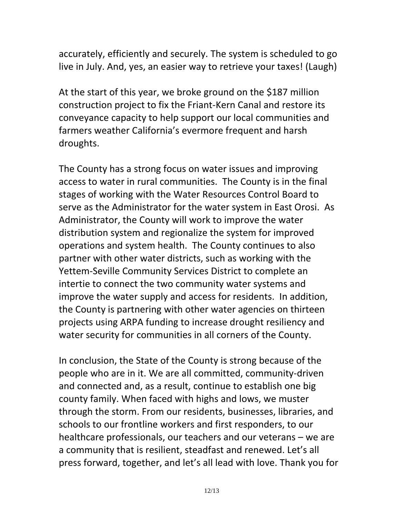accurately, efficiently and securely. The system is scheduled to go live in July. And, yes, an easier way to retrieve your taxes! (Laugh)

At the start of this year, we broke ground on the \$187 million construction project to fix the Friant-Kern Canal and restore its conveyance capacity to help support our local communities and farmers weather California's evermore frequent and harsh droughts.

The County has a strong focus on water issues and improving access to water in rural communities. The County is in the final stages of working with the Water Resources Control Board to serve as the Administrator for the water system in East Orosi. As Administrator, the County will work to improve the water distribution system and regionalize the system for improved operations and system health. The County continues to also partner with other water districts, such as working with the Yettem-Seville Community Services District to complete an intertie to connect the two community water systems and improve the water supply and access for residents. In addition, the County is partnering with other water agencies on thirteen projects using ARPA funding to increase drought resiliency and water security for communities in all corners of the County.

In conclusion, the State of the County is strong because of the people who are in it. We are all committed, community-driven and connected and, as a result, continue to establish one big county family. When faced with highs and lows, we muster through the storm. From our residents, businesses, libraries, and schools to our frontline workers and first responders, to our healthcare professionals, our teachers and our veterans – we are a community that is resilient, steadfast and renewed. Let's all press forward, together, and let's all lead with love. Thank you for